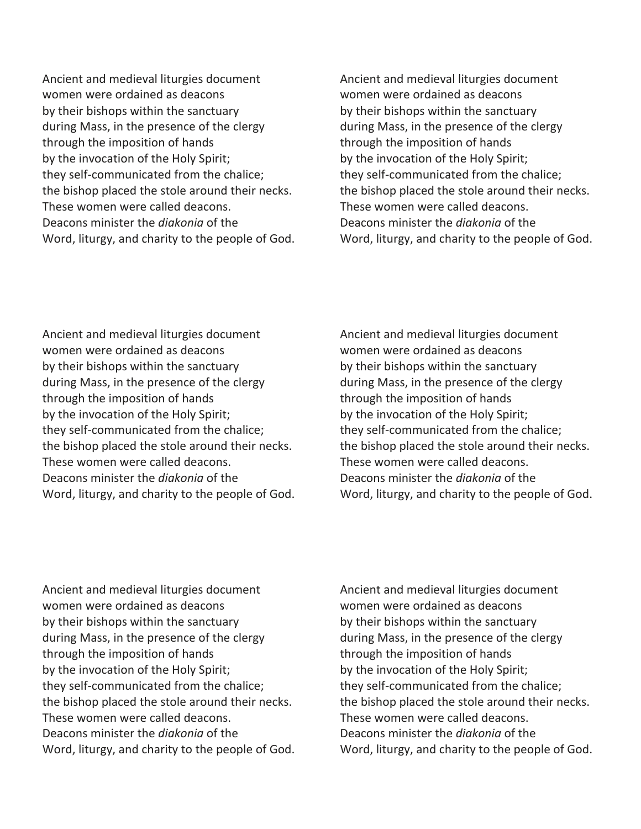Ancient and medieval liturgies document women were ordained as deacons by their bishops within the sanctuary during Mass, in the presence of the clergy through the imposition of hands by the invocation of the Holy Spirit; they self-communicated from the chalice; the bishop placed the stole around their necks. These women were called deacons. Deacons minister the *diakonia* of the Word, liturgy, and charity to the people of God. Ancient and medieval liturgies document women were ordained as deacons by their bishops within the sanctuary during Mass, in the presence of the clergy through the imposition of hands by the invocation of the Holy Spirit; they self-communicated from the chalice; the bishop placed the stole around their necks. These women were called deacons. Deacons minister the *diakonia* of the Word, liturgy, and charity to the people of God.

Ancient and medieval liturgies document women were ordained as deacons by their bishops within the sanctuary during Mass, in the presence of the clergy through the imposition of hands by the invocation of the Holy Spirit; they self-communicated from the chalice; the bishop placed the stole around their necks. These women were called deacons. Deacons minister the *diakonia* of the Word, liturgy, and charity to the people of God. Ancient and medieval liturgies document women were ordained as deacons by their bishops within the sanctuary during Mass, in the presence of the clergy through the imposition of hands by the invocation of the Holy Spirit; they self-communicated from the chalice; the bishop placed the stole around their necks. These women were called deacons. Deacons minister the *diakonia* of the Word, liturgy, and charity to the people of God.

Ancient and medieval liturgies document women were ordained as deacons by their bishops within the sanctuary during Mass, in the presence of the clergy through the imposition of hands by the invocation of the Holy Spirit; they self-communicated from the chalice; the bishop placed the stole around their necks. These women were called deacons. Deacons minister the *diakonia* of the Word, liturgy, and charity to the people of God. Ancient and medieval liturgies document women were ordained as deacons by their bishops within the sanctuary during Mass, in the presence of the clergy through the imposition of hands by the invocation of the Holy Spirit; they self-communicated from the chalice; the bishop placed the stole around their necks. These women were called deacons. Deacons minister the *diakonia* of the Word, liturgy, and charity to the people of God.